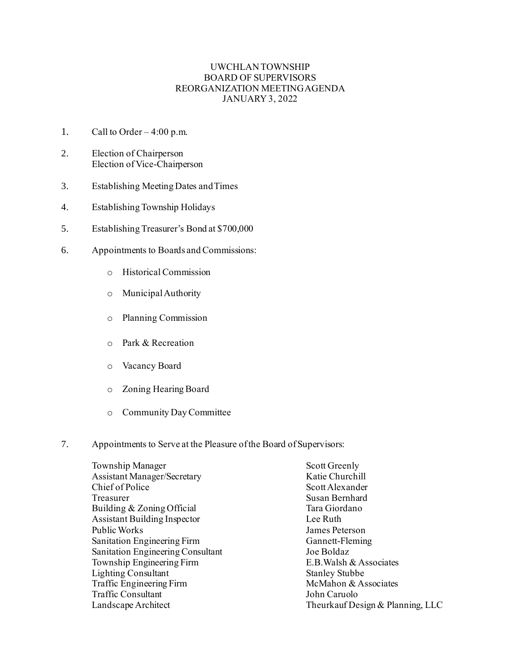## UWCHLAN TOWNSHIP BOARD OF SUPERVISORS REORGANIZATION MEETING AGENDA JANUARY 3, 2022

- 1. Call to Order  $4:00$  p.m.
- 2. Election of Chairperson Election of Vice-Chairperson
- 3. Establishing Meeting Dates and Times
- 4. Establishing Township Holidays
- 5. Establishing Treasurer's Bond at \$700,000
- 6. Appointments to Boards and Commissions:
	- o Historical Commission
	- o Municipal Authority
	- o Planning Commission
	- o Park & Recreation
	- o Vacancy Board
	- o Zoning Hearing Board
	- o Community Day Committee
- 7. Appointments to Serve at the Pleasure of the Board of Supervisors:

| Township Manager                    | Scott Greenly                    |
|-------------------------------------|----------------------------------|
| <b>Assistant Manager/Secretary</b>  | Katie Churchill                  |
| Chief of Police                     | Scott Alexander                  |
| Treasurer                           | Susan Bernhard                   |
| Building & Zoning Official          | Tara Giordano                    |
| <b>Assistant Building Inspector</b> | Lee Ruth                         |
| Public Works                        | James Peterson                   |
| Sanitation Engineering Firm         | Gannett-Fleming                  |
| Sanitation Engineering Consultant   | Joe Boldaz                       |
| Township Engineering Firm           | E.B. Walsh & Associates          |
| <b>Lighting Consultant</b>          | <b>Stanley Stubbe</b>            |
| Traffic Engineering Firm            | McMahon & Associates             |
| <b>Traffic Consultant</b>           | John Caruolo                     |
| Landscape Architect                 | Theurkauf Design & Planning, LLC |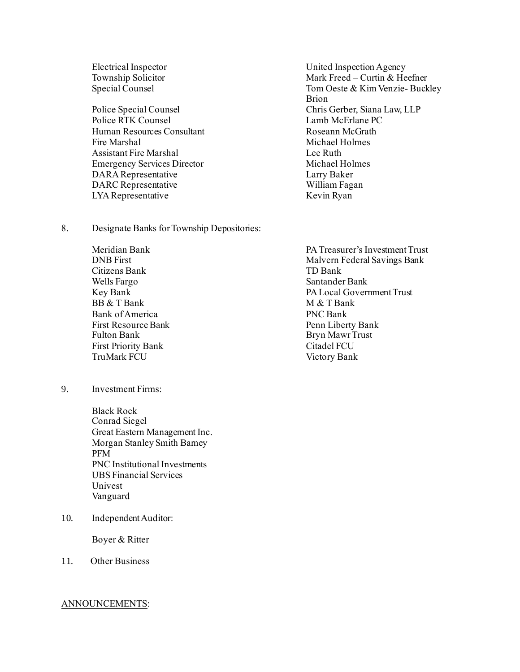Police RTK Counsel Lamb McErlane PC Human Resources Consultant The Roseann McGrath Fire Marshal Michael Holmes Assistant Fire Marshal Lee Ruth Emergency Services Director Michael Holmes DARA Representative Larry Baker<br>
DARC Representative William Fagan DARC Representative LYA Representative Kevin Ryan

8. Designate Banks for Township Depositories:

Citizens Bank TD Bank Wells Fargo Santander Bank  $BR & TRank$  M  $& TRank$ Bank of America PNC Bank First Resource Bank Penn Liberty Bank Fulton Bank Bryn Mawr Trust First Priority Bank Citadel FCU TruMark FCU Victory Bank

9. Investment Firms:

Black Rock Conrad Siegel Great Eastern Management Inc. Morgan Stanley Smith Barney PFM PNC Institutional Investments UBS Financial Services Univest Vanguard

10. Independent Auditor:

Boyer & Ritter

11. Other Business

## ANNOUNCEMENTS:

Electrical Inspector United Inspection Agency Township Solicitor **Mark Freed** – Curtin & Heefner Special Counsel Tom Oeste & Kim Venzie- Buckley Brion Police Special Counsel Chris Gerber, Siana Law, LLP

Meridian Bank PA Treasurer's Investment Trust<br>
PA Treasurer's Investment Trust<br>
Malvern Federal Savings Bank Malvern Federal Savings Bank Key Bank PA Local Government Trust